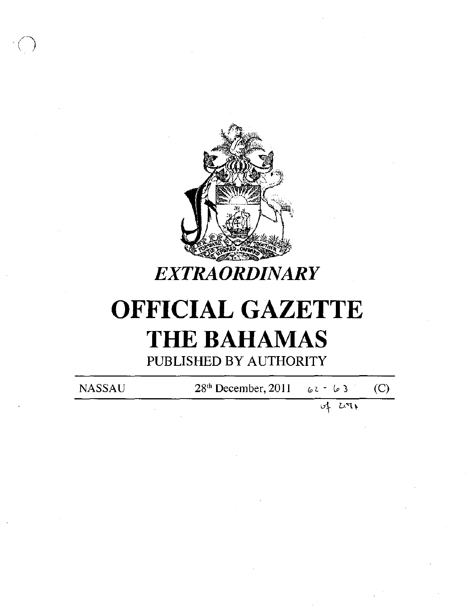

## **EXTRAORDINARY**

# **OFFICIAL GAZETTE THE BAHAMAS** PUBLISHED BY AUTHORITY

**NASSAU** 

28<sup>th</sup> December, 2011  $62 - 63$ 

> بای uri

 $(C)$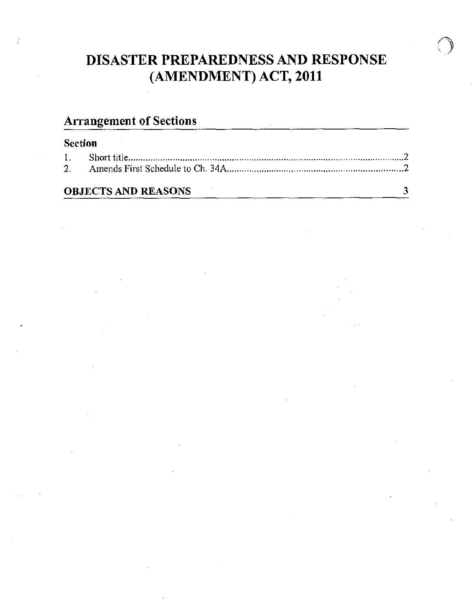## DISASTER PREPAREDNESS AND RESPONSE (AMENDMENT) ACT, 2011

### Arrangement of Sections

| Ι. |                            |  |
|----|----------------------------|--|
| 2. |                            |  |
|    | <b>OBJECTS AND REASONS</b> |  |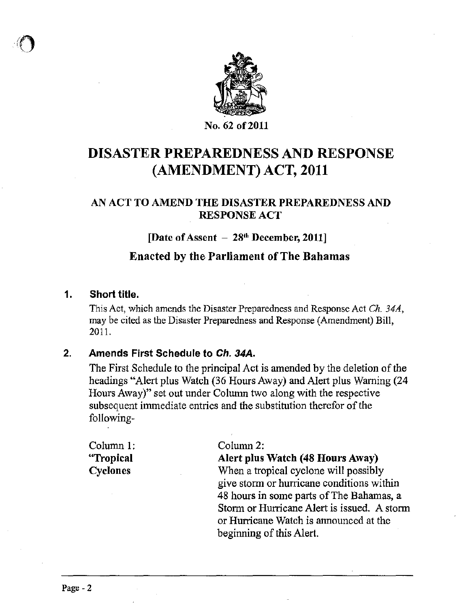

### DISASTER PREPAREDNESS AND RESPONSE (AMENDMENT) ACT, 2011

#### AN ACT TO AMEND THE DISASTER PREPAREDNESS AND RESPONSE ACT

#### [Date of Assent - 28<sup>th</sup> December, 2011]

#### Enacted by the Parliament of The Bahamas

#### 1. Short title.

This Act, which amends the Disaster Preparedness and Response Act *Ch. 34A,*  may be cited as the Disaster Preparedness and Response (Amendment) Bill, 201].

#### 2. Amends First Schedule to Ch. 34A.

The First Schedule to the principal Act is amended by the deletion of the headings "Alert plus Watch (36 Hours Away) and Alert plus Warning (24 Hours Away)" set out under Column two along with the respective subsequent immediate entries and the substitution therefor of the following-

Column 1: "Tropical Cyclones

Column2:

Alert plus Watch (48 Hours Away)

When a tropical cyclone will possibly give storm or hurricane conditions within 48 hours in some parts of The Bahamas, a Storm or Hurricane Alert is issued. A storm or Hurricane Watch is announced at the beginning of this Alert.